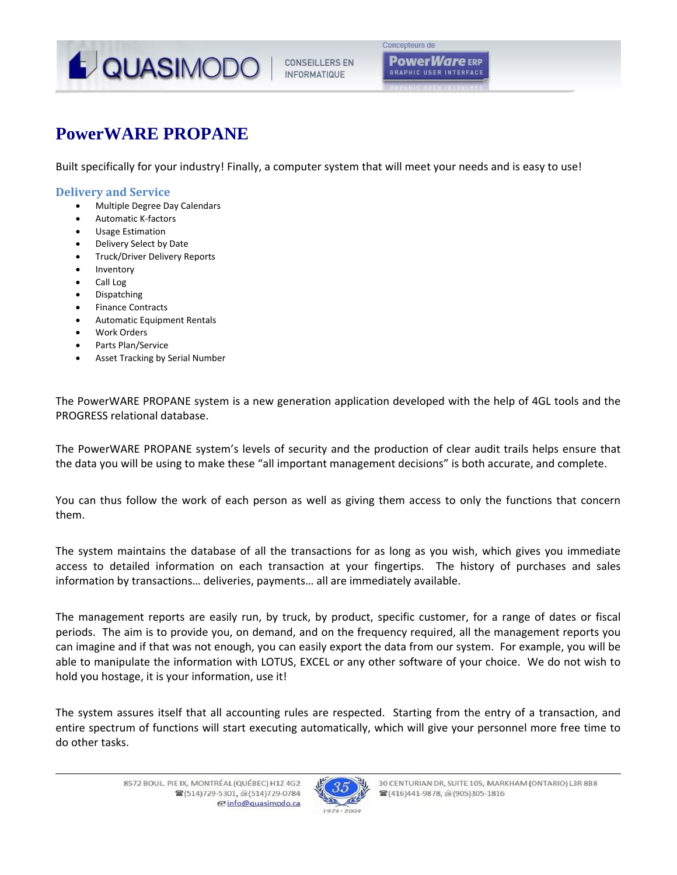

**GRAPHIC USER INTERFACE** 

# **PowerWARE PROPANE**

Built specifically for your industry! Finally, a computer system that will meet your needs and is easy to use!

### **Delivery and Service**

- Multiple Degree Day Calendars
- Automatic K‐factors
- Usage Estimation
- Delivery Select by Date
- Truck/Driver Delivery Reports
- Inventory
- Call Log
- Dispatching
- Finance Contracts
- Automatic Equipment Rentals
- Work Orders
- Parts Plan/Service
- Asset Tracking by Serial Number

The PowerWARE PROPANE system is a new generation application developed with the help of 4GL tools and the PROGRESS relational database.

The PowerWARE PROPANE system's levels of security and the production of clear audit trails helps ensure that the data you will be using to make these "all important management decisions" is both accurate, and complete.

You can thus follow the work of each person as well as giving them access to only the functions that concern them.

The system maintains the database of all the transactions for as long as you wish, which gives you immediate access to detailed information on each transaction at your fingertips. The history of purchases and sales information by transactions… deliveries, payments… all are immediately available.

The management reports are easily run, by truck, by product, specific customer, for a range of dates or fiscal periods. The aim is to provide you, on demand, and on the frequency required, all the management reports you can imagine and if that was not enough, you can easily export the data from our system. For example, you will be able to manipulate the information with LOTUS, EXCEL or any other software of your choice. We do not wish to hold you hostage, it is your information, use it!

The system assures itself that all accounting rules are respected. Starting from the entry of a transaction, and entire spectrum of functions will start executing automatically, which will give your personnel more free time to do other tasks.

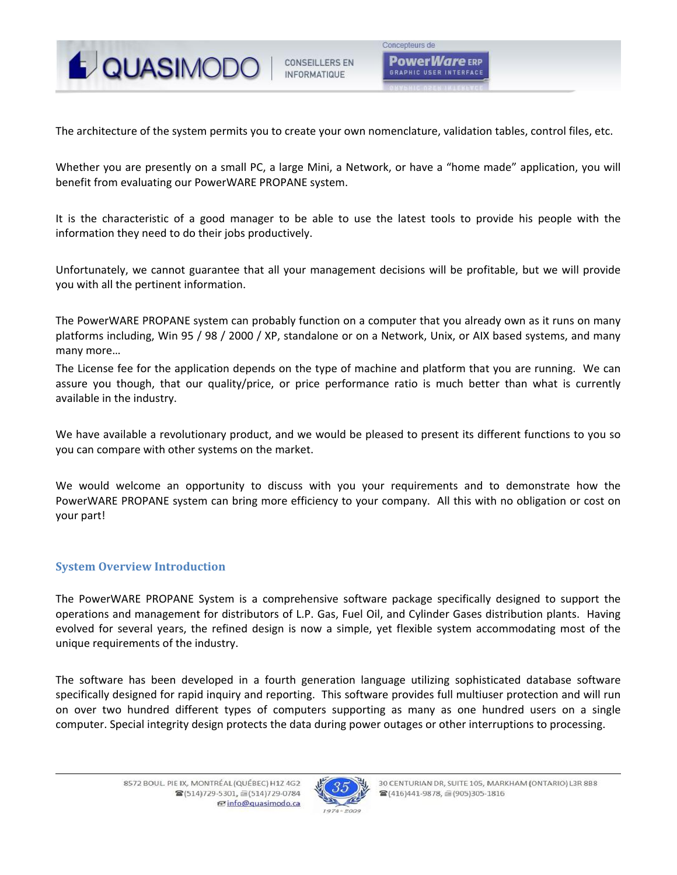

The architecture of the system permits you to create your own nomenclature, validation tables, control files, etc.

Whether you are presently on a small PC, a large Mini, a Network, or have a "home made" application, you will benefit from evaluating our PowerWARE PROPANE system.

It is the characteristic of a good manager to be able to use the latest tools to provide his people with the information they need to do their jobs productively.

Unfortunately, we cannot guarantee that all your management decisions will be profitable, but we will provide you with all the pertinent information.

The PowerWARE PROPANE system can probably function on a computer that you already own as it runs on many platforms including, Win 95 / 98 / 2000 / XP, standalone or on a Network, Unix, or AIX based systems, and many many more…

The License fee for the application depends on the type of machine and platform that you are running. We can assure you though, that our quality/price, or price performance ratio is much better than what is currently available in the industry.

We have available a revolutionary product, and we would be pleased to present its different functions to you so you can compare with other systems on the market.

We would welcome an opportunity to discuss with you your requirements and to demonstrate how the PowerWARE PROPANE system can bring more efficiency to your company. All this with no obligation or cost on your part!

## **System Overview Introduction**

The PowerWARE PROPANE System is a comprehensive software package specifically designed to support the operations and management for distributors of L.P. Gas, Fuel Oil, and Cylinder Gases distribution plants. Having evolved for several years, the refined design is now a simple, yet flexible system accommodating most of the unique requirements of the industry.

The software has been developed in a fourth generation language utilizing sophisticated database software specifically designed for rapid inquiry and reporting. This software provides full multiuser protection and will run on over two hundred different types of computers supporting as many as one hundred users on a single computer. Special integrity design protects the data during power outages or other interruptions to processing.

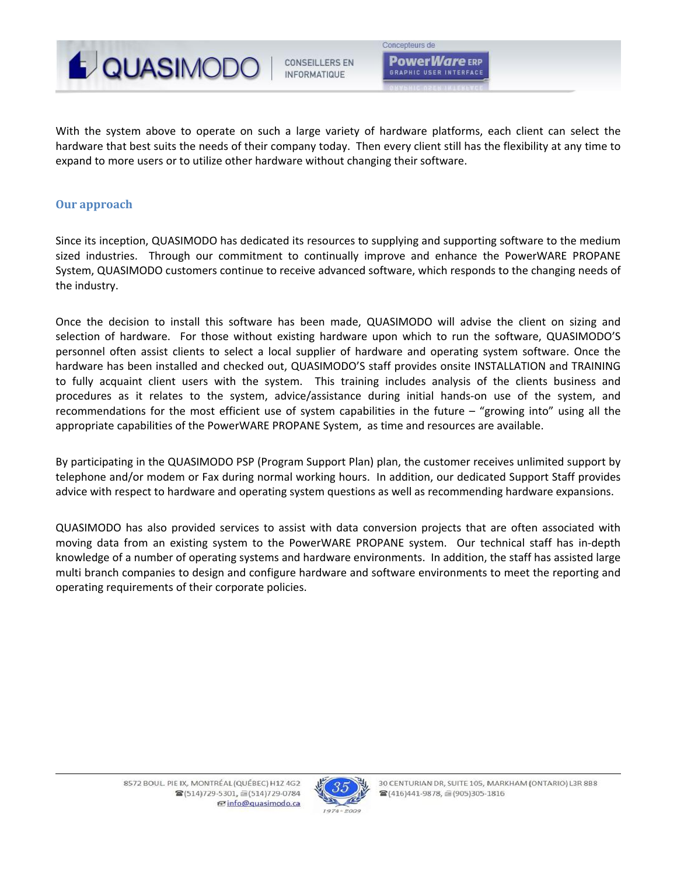

**CONSEILLERS EN INFORMATIQUE** 

Concepteurs de **PowerWare** ERP **GRAPHIC USER INTERFACE** 

With the system above to operate on such a large variety of hardware platforms, each client can select the hardware that best suits the needs of their company today. Then every client still has the flexibility at any time to expand to more users or to utilize other hardware without changing their software.

### **Our approach**

Since its inception, QUASIMODO has dedicated its resources to supplying and supporting software to the medium sized industries. Through our commitment to continually improve and enhance the PowerWARE PROPANE System, QUASIMODO customers continue to receive advanced software, which responds to the changing needs of the industry.

Once the decision to install this software has been made, QUASIMODO will advise the client on sizing and selection of hardware. For those without existing hardware upon which to run the software, QUASIMODO'S personnel often assist clients to select a local supplier of hardware and operating system software. Once the hardware has been installed and checked out, QUASIMODO'S staff provides onsite INSTALLATION and TRAINING to fully acquaint client users with the system. This training includes analysis of the clients business and procedures as it relates to the system, advice/assistance during initial hands‐on use of the system, and recommendations for the most efficient use of system capabilities in the future – "growing into" using all the appropriate capabilities of the PowerWARE PROPANE System, as time and resources are available.

By participating in the QUASIMODO PSP (Program Support Plan) plan, the customer receives unlimited support by telephone and/or modem or Fax during normal working hours. In addition, our dedicated Support Staff provides advice with respect to hardware and operating system questions as well as recommending hardware expansions.

QUASIMODO has also provided services to assist with data conversion projects that are often associated with moving data from an existing system to the PowerWARE PROPANE system. Our technical staff has in-depth knowledge of a number of operating systems and hardware environments. In addition, the staff has assisted large multi branch companies to design and configure hardware and software environments to meet the reporting and operating requirements of their corporate policies.

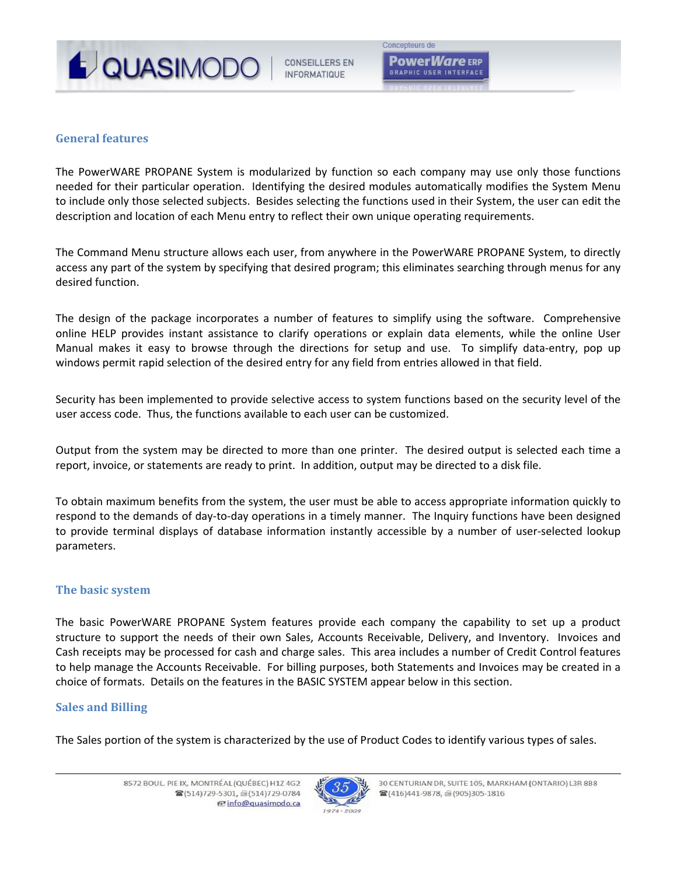

**CONSEILLERS EN INFORMATIOUF** 

# **General features**

The PowerWARE PROPANE System is modularized by function so each company may use only those functions needed for their particular operation. Identifying the desired modules automatically modifies the System Menu to include only those selected subjects. Besides selecting the functions used in their System, the user can edit the description and location of each Menu entry to reflect their own unique operating requirements.

The Command Menu structure allows each user, from anywhere in the PowerWARE PROPANE System, to directly access any part of the system by specifying that desired program; this eliminates searching through menus for any desired function.

The design of the package incorporates a number of features to simplify using the software. Comprehensive online HELP provides instant assistance to clarify operations or explain data elements, while the online User Manual makes it easy to browse through the directions for setup and use. To simplify data-entry, pop up windows permit rapid selection of the desired entry for any field from entries allowed in that field.

Security has been implemented to provide selective access to system functions based on the security level of the user access code. Thus, the functions available to each user can be customized.

Output from the system may be directed to more than one printer. The desired output is selected each time a report, invoice, or statements are ready to print. In addition, output may be directed to a disk file.

To obtain maximum benefits from the system, the user must be able to access appropriate information quickly to respond to the demands of day-to-day operations in a timely manner. The Inquiry functions have been designed to provide terminal displays of database information instantly accessible by a number of user‐selected lookup parameters.

# **The basic system**

The basic PowerWARE PROPANE System features provide each company the capability to set up a product structure to support the needs of their own Sales, Accounts Receivable, Delivery, and Inventory. Invoices and Cash receipts may be processed for cash and charge sales. This area includes a number of Credit Control features to help manage the Accounts Receivable. For billing purposes, both Statements and Invoices may be created in a choice of formats. Details on the features in the BASIC SYSTEM appear below in this section.

# **Sales and Billing**

The Sales portion of the system is characterized by the use of Product Codes to identify various types of sales.

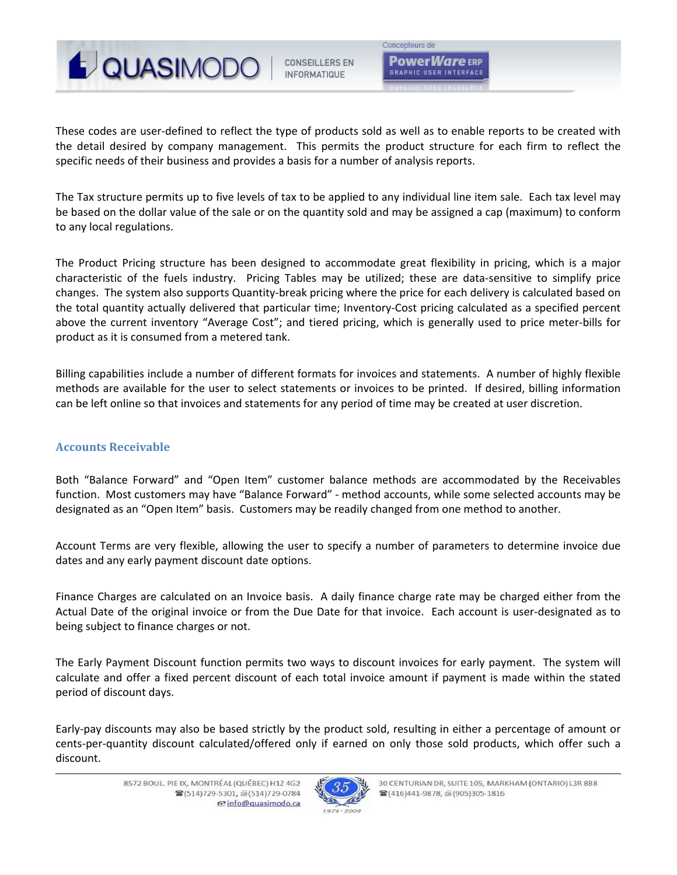

**CONSEILLERS EN INFORMATIOUF** 

Concepteurs de **PowerWare** ERP **GRAPHIC USER INTERFACE** 

These codes are user‐defined to reflect the type of products sold as well as to enable reports to be created with the detail desired by company management. This permits the product structure for each firm to reflect the specific needs of their business and provides a basis for a number of analysis reports.

The Tax structure permits up to five levels of tax to be applied to any individual line item sale. Each tax level may be based on the dollar value of the sale or on the quantity sold and may be assigned a cap (maximum) to conform to any local regulations.

The Product Pricing structure has been designed to accommodate great flexibility in pricing, which is a major characteristic of the fuels industry. Pricing Tables may be utilized; these are data-sensitive to simplify price changes. The system also supports Quantity‐break pricing where the price for each delivery is calculated based on the total quantity actually delivered that particular time; Inventory‐Cost pricing calculated as a specified percent above the current inventory "Average Cost"; and tiered pricing, which is generally used to price meter‐bills for product as it is consumed from a metered tank.

Billing capabilities include a number of different formats for invoices and statements. A number of highly flexible methods are available for the user to select statements or invoices to be printed. If desired, billing information can be left online so that invoices and statements for any period of time may be created at user discretion.

# **Accounts Receivable**

Both "Balance Forward" and "Open Item" customer balance methods are accommodated by the Receivables function. Most customers may have "Balance Forward" ‐ method accounts, while some selected accounts may be designated as an "Open Item" basis. Customers may be readily changed from one method to another.

Account Terms are very flexible, allowing the user to specify a number of parameters to determine invoice due dates and any early payment discount date options.

Finance Charges are calculated on an Invoice basis. A daily finance charge rate may be charged either from the Actual Date of the original invoice or from the Due Date for that invoice. Each account is user‐designated as to being subject to finance charges or not.

The Early Payment Discount function permits two ways to discount invoices for early payment. The system will calculate and offer a fixed percent discount of each total invoice amount if payment is made within the stated period of discount days.

Early‐pay discounts may also be based strictly by the product sold, resulting in either a percentage of amount or cents‐per‐quantity discount calculated/offered only if earned on only those sold products, which offer such a discount.

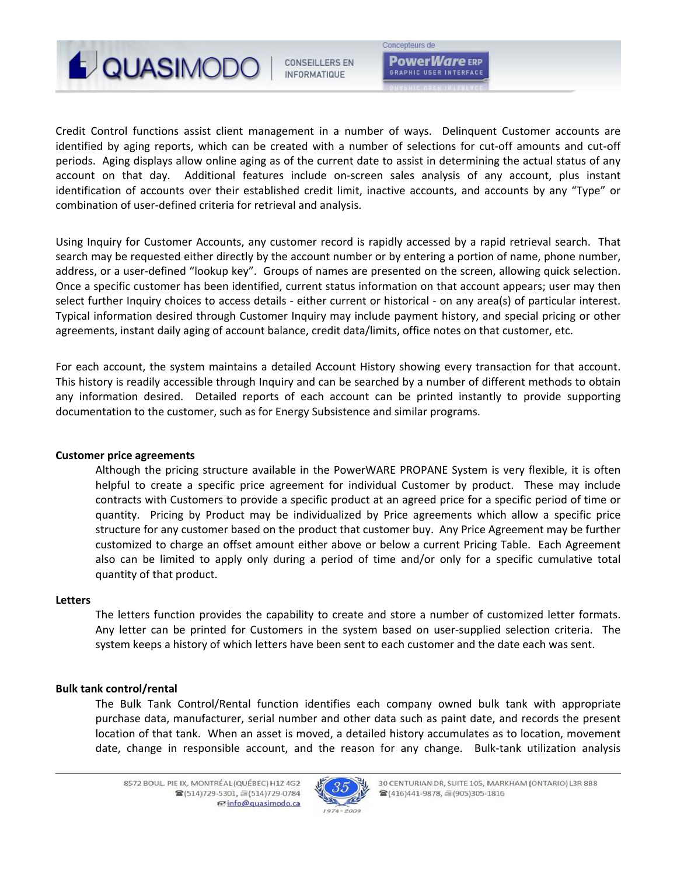

**CONSEILLERS EN INFORMATIQUE** 

**PowerWare** ERP **GRAPHIC USER INTERFACE** 

Concepteurs de

Credit Control functions assist client management in a number of ways. Delinquent Customer accounts are identified by aging reports, which can be created with a number of selections for cut-off amounts and cut-off periods. Aging displays allow online aging as of the current date to assist in determining the actual status of any account on that day. Additional features include on-screen sales analysis of any account, plus instant identification of accounts over their established credit limit, inactive accounts, and accounts by any "Type" or combination of user‐defined criteria for retrieval and analysis.

Using Inquiry for Customer Accounts, any customer record is rapidly accessed by a rapid retrieval search. That search may be requested either directly by the account number or by entering a portion of name, phone number, address, or a user-defined "lookup key". Groups of names are presented on the screen, allowing quick selection. Once a specific customer has been identified, current status information on that account appears; user may then select further Inquiry choices to access details ‐ either current or historical ‐ on any area(s) of particular interest. Typical information desired through Customer Inquiry may include payment history, and special pricing or other agreements, instant daily aging of account balance, credit data/limits, office notes on that customer, etc.

For each account, the system maintains a detailed Account History showing every transaction for that account. This history is readily accessible through Inquiry and can be searched by a number of different methods to obtain any information desired. Detailed reports of each account can be printed instantly to provide supporting documentation to the customer, such as for Energy Subsistence and similar programs.

### **Customer price agreements**

Although the pricing structure available in the PowerWARE PROPANE System is very flexible, it is often helpful to create a specific price agreement for individual Customer by product. These may include contracts with Customers to provide a specific product at an agreed price for a specific period of time or quantity. Pricing by Product may be individualized by Price agreements which allow a specific price structure for any customer based on the product that customer buy. Any Price Agreement may be further customized to charge an offset amount either above or below a current Pricing Table. Each Agreement also can be limited to apply only during a period of time and/or only for a specific cumulative total quantity of that product.

### **Letters**

The letters function provides the capability to create and store a number of customized letter formats. Any letter can be printed for Customers in the system based on user-supplied selection criteria. The system keeps a history of which letters have been sent to each customer and the date each was sent.

### **Bulk tank control/rental**

The Bulk Tank Control/Rental function identifies each company owned bulk tank with appropriate purchase data, manufacturer, serial number and other data such as paint date, and records the present location of that tank. When an asset is moved, a detailed history accumulates as to location, movement date, change in responsible account, and the reason for any change. Bulk-tank utilization analysis

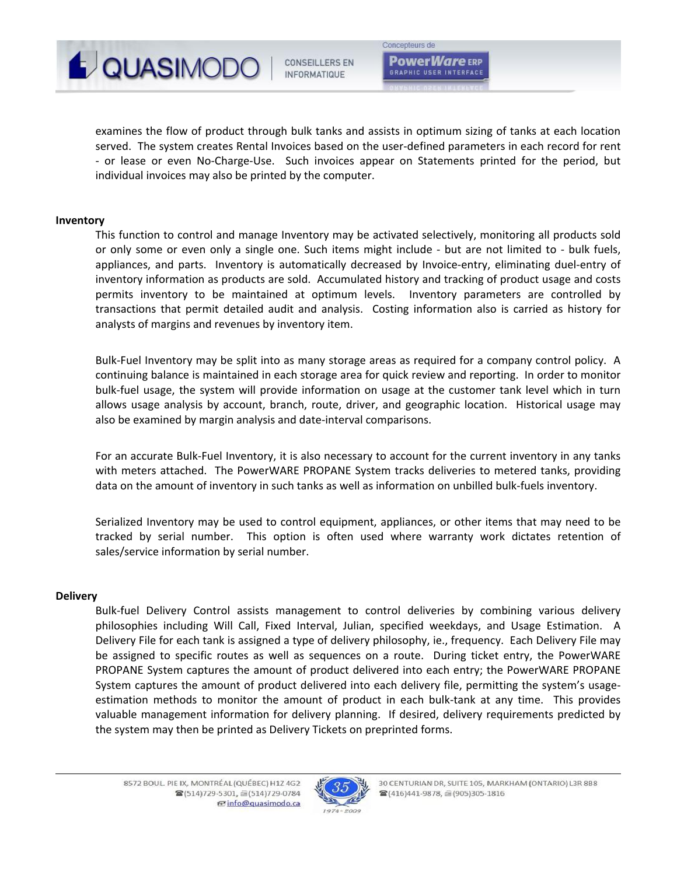

examines the flow of product through bulk tanks and assists in optimum sizing of tanks at each location served. The system creates Rental Invoices based on the user-defined parameters in each record for rent ‐ or lease or even No‐Charge‐Use. Such invoices appear on Statements printed for the period, but individual invoices may also be printed by the computer.

### **Inventory**

This function to control and manage Inventory may be activated selectively, monitoring all products sold or only some or even only a single one. Such items might include - but are not limited to - bulk fuels, appliances, and parts. Inventory is automatically decreased by Invoice-entry, eliminating duel-entry of inventory information as products are sold. Accumulated history and tracking of product usage and costs permits inventory to be maintained at optimum levels. Inventory parameters are controlled by transactions that permit detailed audit and analysis. Costing information also is carried as history for analysts of margins and revenues by inventory item.

Bulk-Fuel Inventory may be split into as many storage areas as required for a company control policy. A continuing balance is maintained in each storage area for quick review and reporting. In order to monitor bulk‐fuel usage, the system will provide information on usage at the customer tank level which in turn allows usage analysis by account, branch, route, driver, and geographic location. Historical usage may also be examined by margin analysis and date‐interval comparisons.

For an accurate Bulk-Fuel Inventory, it is also necessary to account for the current inventory in any tanks with meters attached. The PowerWARE PROPANE System tracks deliveries to metered tanks, providing data on the amount of inventory in such tanks as well as information on unbilled bulk‐fuels inventory.

Serialized Inventory may be used to control equipment, appliances, or other items that may need to be tracked by serial number. This option is often used where warranty work dictates retention of sales/service information by serial number.

### **Delivery**

Bulk-fuel Delivery Control assists management to control deliveries by combining various delivery philosophies including Will Call, Fixed Interval, Julian, specified weekdays, and Usage Estimation. A Delivery File for each tank is assigned a type of delivery philosophy, ie., frequency. Each Delivery File may be assigned to specific routes as well as sequences on a route. During ticket entry, the PowerWARE PROPANE System captures the amount of product delivered into each entry; the PowerWARE PROPANE System captures the amount of product delivered into each delivery file, permitting the system's usage‐ estimation methods to monitor the amount of product in each bulk-tank at any time. This provides valuable management information for delivery planning. If desired, delivery requirements predicted by the system may then be printed as Delivery Tickets on preprinted forms.

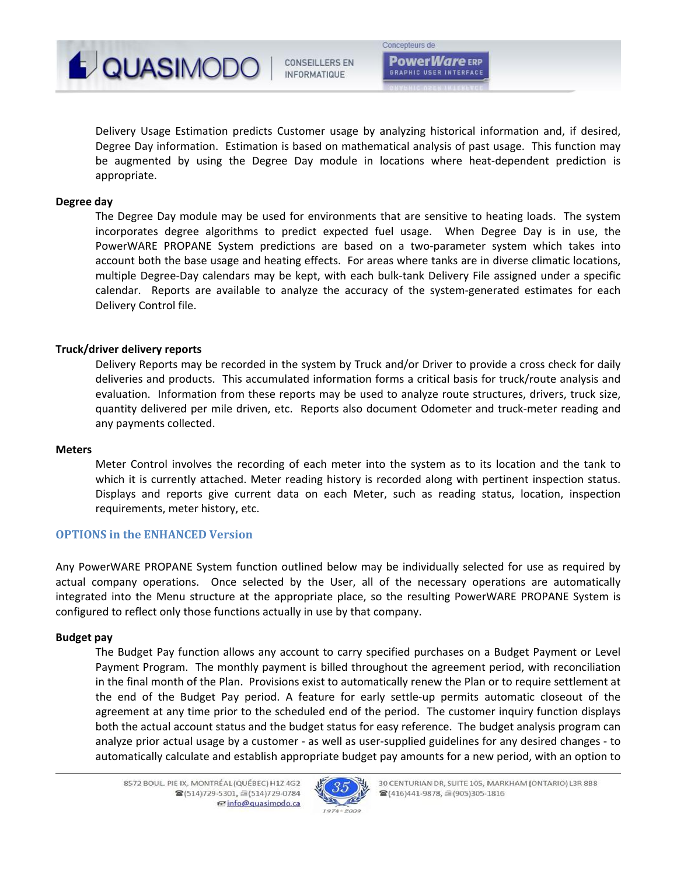

Delivery Usage Estimation predicts Customer usage by analyzing historical information and, if desired, Degree Day information. Estimation is based on mathematical analysis of past usage. This function may be augmented by using the Degree Day module in locations where heat-dependent prediction is appropriate.

### **Degree day**

The Degree Day module may be used for environments that are sensitive to heating loads. The system incorporates degree algorithms to predict expected fuel usage. When Degree Day is in use, the PowerWARE PROPANE System predictions are based on a two-parameter system which takes into account both the base usage and heating effects. For areas where tanks are in diverse climatic locations, multiple Degree‐Day calendars may be kept, with each bulk‐tank Delivery File assigned under a specific calendar. Reports are available to analyze the accuracy of the system-generated estimates for each Delivery Control file.

### **Truck/driver delivery reports**

Delivery Reports may be recorded in the system by Truck and/or Driver to provide a cross check for daily deliveries and products. This accumulated information forms a critical basis for truck/route analysis and evaluation. Information from these reports may be used to analyze route structures, drivers, truck size, quantity delivered per mile driven, etc. Reports also document Odometer and truck‐meter reading and any payments collected.

### **Meters**

Meter Control involves the recording of each meter into the system as to its location and the tank to which it is currently attached. Meter reading history is recorded along with pertinent inspection status. Displays and reports give current data on each Meter, such as reading status, location, inspection requirements, meter history, etc.

### **OPTIONS in the ENHANCED Version**

Any PowerWARE PROPANE System function outlined below may be individually selected for use as required by actual company operations. Once selected by the User, all of the necessary operations are automatically integrated into the Menu structure at the appropriate place, so the resulting PowerWARE PROPANE System is configured to reflect only those functions actually in use by that company.

### **Budget pay**

The Budget Pay function allows any account to carry specified purchases on a Budget Payment or Level Payment Program. The monthly payment is billed throughout the agreement period, with reconciliation in the final month of the Plan. Provisions exist to automatically renew the Plan or to require settlement at the end of the Budget Pay period. A feature for early settle‐up permits automatic closeout of the agreement at any time prior to the scheduled end of the period. The customer inquiry function displays both the actual account status and the budget status for easy reference. The budget analysis program can analyze prior actual usage by a customer - as well as user-supplied guidelines for any desired changes - to automatically calculate and establish appropriate budget pay amounts for a new period, with an option to

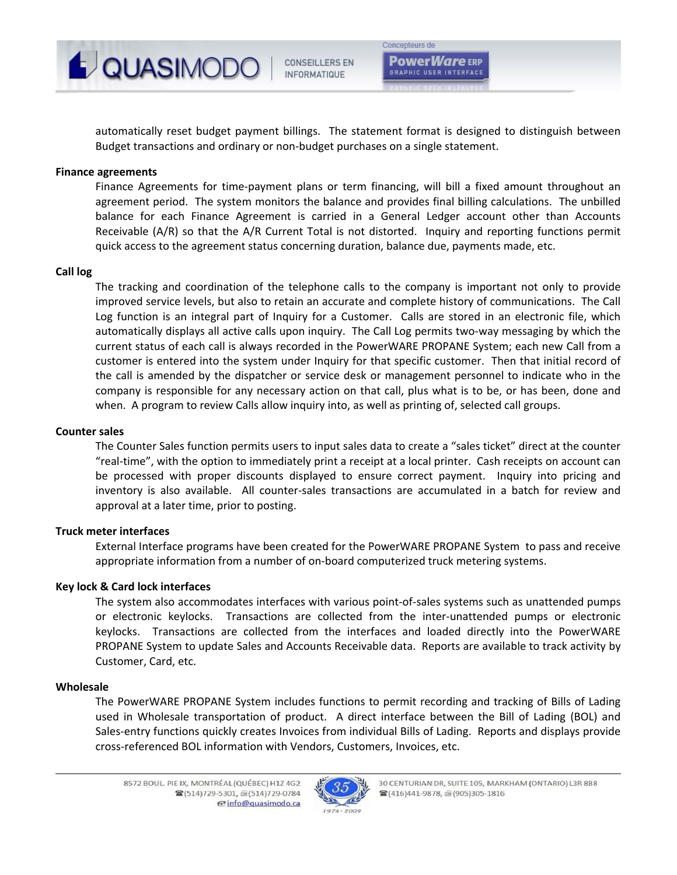

**CONSEILLERS EN INFORMATIQUE** 

automatically reset budget payment billings. The statement format is designed to distinguish between Budget transactions and ordinary or non‐budget purchases on a single statement.

# **Finance agreements**

Finance Agreements for time‐payment plans or term financing, will bill a fixed amount throughout an agreement period. The system monitors the balance and provides final billing calculations. The unbilled balance for each Finance Agreement is carried in a General Ledger account other than Accounts Receivable (A/R) so that the A/R Current Total is not distorted. Inquiry and reporting functions permit quick access to the agreement status concerning duration, balance due, payments made, etc.

### **Call log**

The tracking and coordination of the telephone calls to the company is important not only to provide improved service levels, but also to retain an accurate and complete history of communications. The Call Log function is an integral part of Inquiry for a Customer. Calls are stored in an electronic file, which automatically displays all active calls upon inquiry. The Call Log permits two-way messaging by which the current status of each call is always recorded in the PowerWARE PROPANE System; each new Call from a customer is entered into the system under Inquiry for that specific customer. Then that initial record of the call is amended by the dispatcher or service desk or management personnel to indicate who in the company is responsible for any necessary action on that call, plus what is to be, or has been, done and when. A program to review Calls allow inquiry into, as well as printing of, selected call groups.

### **Counter sales**

The Counter Sales function permits users to input sales data to create a "sales ticket" direct at the counter "real‐time", with the option to immediately print a receipt at a local printer. Cash receipts on account can be processed with proper discounts displayed to ensure correct payment. Inquiry into pricing and inventory is also available. All counter-sales transactions are accumulated in a batch for review and approval at a later time, prior to posting.

### **Truck meter interfaces**

External Interface programs have been created for the PowerWARE PROPANE System to pass and receive appropriate information from a number of on‐board computerized truck metering systems.

### **Key lock & Card lock interfaces**

The system also accommodates interfaces with various point‐of‐sales systems such as unattended pumps or electronic keylocks. Transactions are collected from the inter‐unattended pumps or electronic keylocks. Transactions are collected from the interfaces and loaded directly into the PowerWARE PROPANE System to update Sales and Accounts Receivable data. Reports are available to track activity by Customer, Card, etc.

### **Wholesale**

The PowerWARE PROPANE System includes functions to permit recording and tracking of Bills of Lading used in Wholesale transportation of product. A direct interface between the Bill of Lading (BOL) and Sales‐entry functions quickly creates Invoices from individual Bills of Lading. Reports and displays provide cross‐referenced BOL information with Vendors, Customers, Invoices, etc.

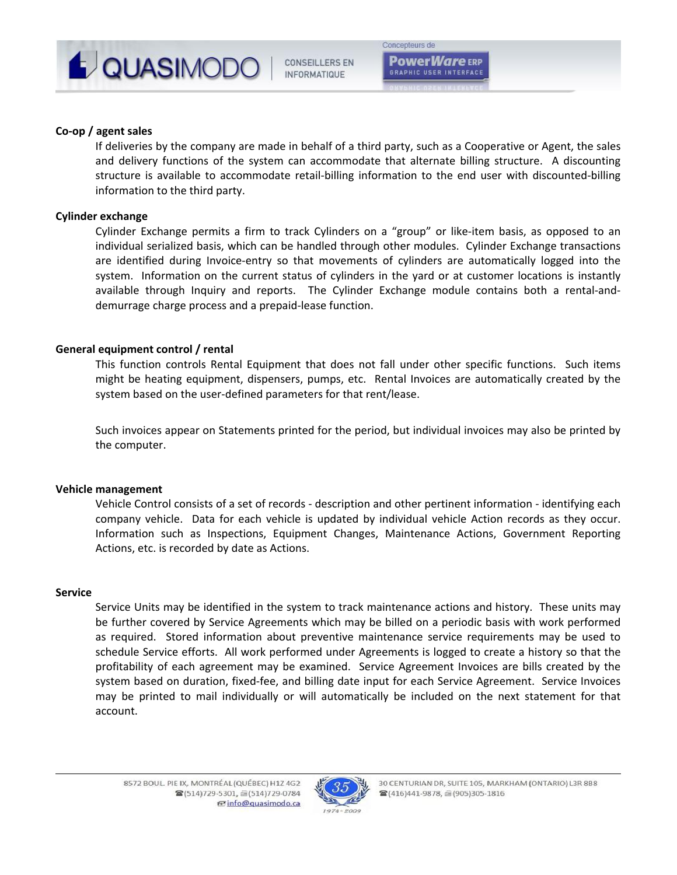

### **Co‐op / agent sales**

If deliveries by the company are made in behalf of a third party, such as a Cooperative or Agent, the sales and delivery functions of the system can accommodate that alternate billing structure. A discounting structure is available to accommodate retail‐billing information to the end user with discounted‐billing information to the third party.

### **Cylinder exchange**

Cylinder Exchange permits a firm to track Cylinders on a "group" or like‐item basis, as opposed to an individual serialized basis, which can be handled through other modules. Cylinder Exchange transactions are identified during Invoice-entry so that movements of cylinders are automatically logged into the system. Information on the current status of cylinders in the yard or at customer locations is instantly available through Inquiry and reports. The Cylinder Exchange module contains both a rental-anddemurrage charge process and a prepaid‐lease function.

### **General equipment control / rental**

This function controls Rental Equipment that does not fall under other specific functions. Such items might be heating equipment, dispensers, pumps, etc. Rental Invoices are automatically created by the system based on the user-defined parameters for that rent/lease.

Such invoices appear on Statements printed for the period, but individual invoices may also be printed by the computer.

### **Vehicle management**

Vehicle Control consists of a set of records ‐ description and other pertinent information ‐ identifying each company vehicle. Data for each vehicle is updated by individual vehicle Action records as they occur. Information such as Inspections, Equipment Changes, Maintenance Actions, Government Reporting Actions, etc. is recorded by date as Actions.

### **Service**

Service Units may be identified in the system to track maintenance actions and history. These units may be further covered by Service Agreements which may be billed on a periodic basis with work performed as required. Stored information about preventive maintenance service requirements may be used to schedule Service efforts. All work performed under Agreements is logged to create a history so that the profitability of each agreement may be examined. Service Agreement Invoices are bills created by the system based on duration, fixed-fee, and billing date input for each Service Agreement. Service Invoices may be printed to mail individually or will automatically be included on the next statement for that account.

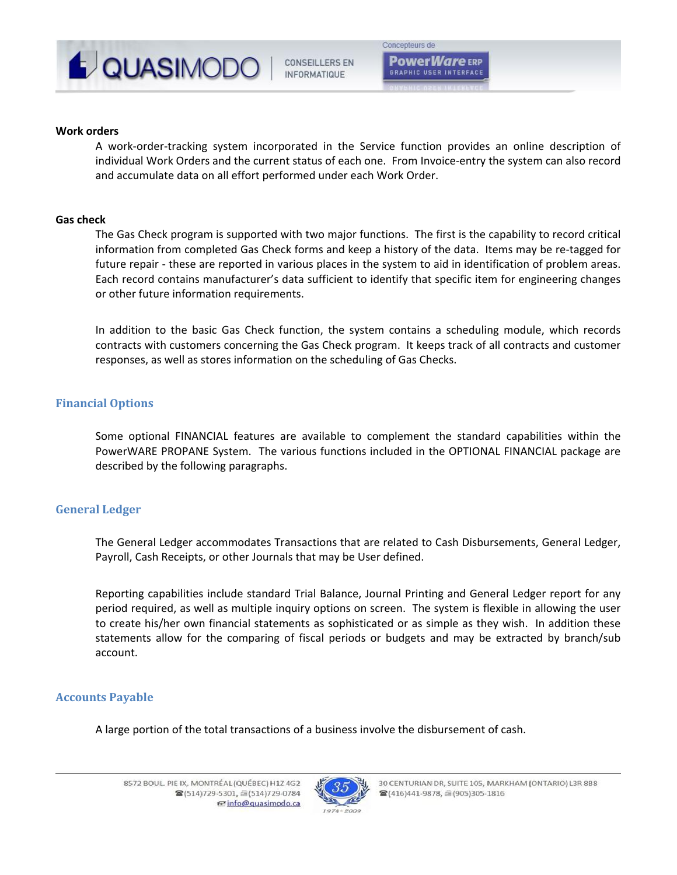

### **Work orders**

A work‐order‐tracking system incorporated in the Service function provides an online description of individual Work Orders and the current status of each one. From Invoice-entry the system can also record and accumulate data on all effort performed under each Work Order.

### **Gas check**

The Gas Check program is supported with two major functions. The first is the capability to record critical information from completed Gas Check forms and keep a history of the data. Items may be re-tagged for future repair – these are reported in various places in the system to aid in identification of problem areas. Each record contains manufacturer's data sufficient to identify that specific item for engineering changes or other future information requirements.

In addition to the basic Gas Check function, the system contains a scheduling module, which records contracts with customers concerning the Gas Check program. It keeps track of all contracts and customer responses, as well as stores information on the scheduling of Gas Checks.

## **Financial Options**

Some optional FINANCIAL features are available to complement the standard capabilities within the PowerWARE PROPANE System. The various functions included in the OPTIONAL FINANCIAL package are described by the following paragraphs.

## **General Ledger**

The General Ledger accommodates Transactions that are related to Cash Disbursements, General Ledger, Payroll, Cash Receipts, or other Journals that may be User defined.

Reporting capabilities include standard Trial Balance, Journal Printing and General Ledger report for any period required, as well as multiple inquiry options on screen. The system is flexible in allowing the user to create his/her own financial statements as sophisticated or as simple as they wish. In addition these statements allow for the comparing of fiscal periods or budgets and may be extracted by branch/sub account.

### **Accounts Payable**

A large portion of the total transactions of a business involve the disbursement of cash.